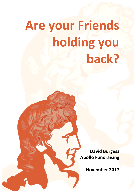# **Are your Friends** holding you **back?**

**David Burgess Apollo Fundraising** 

**November 2017**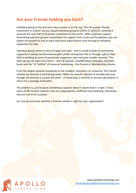# **Are your Friends holding you back?**

Individual giving to the arts and culture sector is on the rise. The oft-quoted 'Private Investment in Culture' Survey valued individual giving at £245m in 2014/15, meaning it accounts for over half of all private investment to the sector. With corporate support diminishing and ever-greater competition for support from trusts and foundations you can expect this growth to rise as more and more organisations start turning to individual supporters for help.

Individual giving comes in lots of shapes and sizes – from a small number of committed supporters making transformational gifts (either during their life or through a gift in their Will) to building an army of passionate supporters who each give smaller amounts. This latter group can take many forms  $-$  one-off appeals, crowdfunding campaigns, donation boxes and the "ol' faithful" of museum fundraising – the Friends or Membership scheme.

From the largest national companies to the smallest, volunteer-run museums, the Friends scheme has become a fundraising staple. While the specific rewards of membership may change, the premise is usually the same  $-$  a Friend pays a monthly or annual subscription in return for a package of benefits.

The problem is, just because something is popular doesn't meant that it is right. In fact, many of the Friends schemes I see are inappropriate, inefficient and inhibiting. Ultimately, they are not fit for purpose.

So, how do you know whether a Friends scheme is right for your organisation?

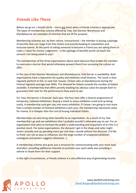## *Friends Like These*

Before we go on, I should clarify – there are times when a Friends scheme is appropriate. The types of membership scheme offered by Tate, the Donmar Warehouse and Glyndebourne are examples of schemes that are fit for purpose.

Membership schemes are, by their nature, transactional – the member is buying a package of benefits that can range from free tickets and priority booking to newsletters and exclusive events. At the point of asking someone to become a Friend you are asking them to make a 'value for money' judgement  $-$  is the package of benefits worth (at least) the amount I am being asked to pay?

The memberships of the three organisations above work because they enable the member to overcome a barrier that would otherwise prevent them from accessing the culture on offer.

In the case of the Donmar Warehouse and Glyndebourne, that barrier is availability. Both organisations have a reputation for quality and relatively small theatres. The result is they regularly perform to full, or near-full, houses. (Ticket sales at Glyndebourne during the Festival regularly average over 94%). The demand for tickets exceeds the number of tickets available. A membership that offers priority booking has obvious value for people keen to guarantee their seat for the performances they want to see.

For Tate, the barrier is financial. Each year, the four sites offer a diverse programme of temporary, ticketed exhibitions. Buying a ticket to every exhibition could end up being costly. A membership card gets you into every exhibition. If I know I am going to visit more than a certain number of ticketed exhibitions each year, the membership represents value for money. It is cheaper than the cost of buying individual tickets.

Memberships can also bring other benefits to an organisation. As a result of my Tate membership I go and see exhibitions that I probably wouldn't otherwise pay to see. For an organisation that aims to increase the public's understanding and enjoyment of art this is a positive result. For some organisations, the discount I get in the shops and cafes might mean I actually end up spending more per visit than I would without the discount. (I'd like to think I am not so easy to influence, but the large number of unopened exhibition catalogues and posters suggests otherwise...).

A membership scheme also gives you a structure for communicating with your most loyal attenders, providing additional channels to promote your work while also providing a vehicle to thank them for their support.

In the right circumstances, a Friends scheme is a very effective way of generating income.

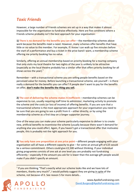### *Toxic Friends*

However, a large number of Friends schemes are set up in a way that makes it almost impossible for the organisation to fundraise effectively. Here are five conditions where a Friends scheme probably isn't the best approach for your organisation:

**1) There is no demand for the benefits you can offer** – the membership schemes above work because the benefits meet a need. However, many schemes offer benefits that have little or no value to the member. For example, if I know I can walk up five minutes before the start of a performance and buy a ticket in the price band I want, a membership scheme offering me priority booking has no value.

Similarly, offering an annual membership based on priority booking for a touring company that only visits my local theatre for two nights of the year is unlikely to be attractive (especially as the local theatre probably has a similar offer that offers priority booking for all sho<mark>ws across</mark> the ye<mark>ar).<sup>1</sup></mark>

Remember – with a transactional scheme you are selling people benefits based on the perceived value for money. Before launching a transactional scheme, ask yourself  $-$  is there really a demand for the benefits you can offer? If people don't want to pay for the benefits on offer, don't make the benefits the thing you sell.

**2)** The cost of delivering the scheme makes it inefficient – membership schemes can be expensive to run, usually requiring staff time to administer, marketing activity to promote the scheme and the costs (or loss of income) of offering benefits. If you are sure that a transactional scheme is the most appropriate approach for your organisation you need to be sure that you are going to see a profit from it  $-$  either directly, or by using the membership scheme as a first step on a longer supporter journey.

One of the ways you can make your scheme particularly expensive to deliver is to create new, artificial benefits to incentivise the scheme (usually because there wasn't demand for anything else you could offer). Again, if you haven't got a transactional offer that motivates people, this is probably not the right approach for you.

**3) You only have one proposition at one price point** – different people engaging with your organisation will all have a different capacity to give  $-$  for some an annual gift of £25 would be a serious commitment. Others could give £2,500 without thinking. If your individual giving programme consists of one ask at one level you are probably not fundraising efficiently – especially if the amount you ask for is lower than the average gift people would make if you didn't specify an amount.

 $1$  If you are thinking "That's exactly what our scheme looks like and we have lots of members, thanks very much!", I would politely suggest they are giving in spite of the scheme, not because of it. See reason 5 for more details...

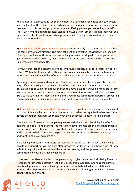At a number of organisations I've seen membership schemes priced at £5 and £10 a year. I love the fact that this means that everybody can play a role in supporting the organisation. However, if that is the only proposition you are offering people, you are selling yourself short. Even with the apparent sector standard of  $£25$  a year I am certain that there will be a significant body of people who – when presented with the right proposition – could and would do more to help.

**4) It is going to inhibit your individual giving** – not everybody that supports your work has the same level of commitment. The most efficient and effective individual giving schemes offer opportunities for those supporters looking for a relationship with the organisation to get more involved. In doing so, their commitment to the cause grows which, in turn, leads to larger, more frequent gifts.

However, transactional schemes alone rarely provide opportunities for progression of this nature. Within this framework, getting people to upgrade usually requires you to offer a more attractive package of benefits – most likely at an increased cost to the organisation.

By having a uniform ask and a uniform identity across your membership you also make it very difficult to distinguish between a benefits-driven member (someone who gives because it is good value for money) and the committed supporter (who gives because they love your museum and who would do more if you asked). A transactional offer on its own is likely to make it nigh-on impossible to identify your most committed supporters, preventing you from building personal relationships and limiting your ability to secure major gifts.

**5) It doesn't match the supporter's motivation** – I've saved the most important reason until last. Most Friends schemes are set up because that is what the organisation has seen other people do, rather than because that is what their potential supporters are looking for.

There are lots of reasons that people to give to charitable causes. Receiving benefits for personal gain is just one of them. The most ineffective schemes are the ones that impose a transactional proposition on the people that want to support because they love your work and just want to help. These are the people that give because they believe in what you do and want to help you do more of it.

It is a failing of museum fundraisers (or their organisations) that many feel the only way people will support our work is if we offer incentives for doing so. This shows a lack of faith in both the quality and the value of the work we provide, and the generosity of the committed individuals that love what we do.

I have seen countless examples of people wanting to give philanthropically being forced into transactional schemes because it is the only proposition available. In forcing them into a membership scheme you are denying them the chance to build a deeper relationship around a shared passion, while also wasting huge chunks of their gift providing them with benefits they don't want.



www.ApolloFundraising.com David.Burgess@ApolloFundraising.com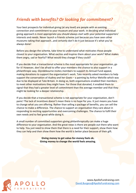# **Friends with benefits? Or looking for commitment?**

Your best prospects for individual giving (at any level) are people with an existing connection and commitment to your museum and your work. In deciding what individual giving approach is most appropriate you should always start with your potential supporters' interests and needs. Never launch a Friends scheme just because you have seen other museums taking that approach...and certainly don't do it just because it's what you've always done!

Before you design the scheme, take time to understand what motivates those people closest to your organisation. What excites and inspires them about your work? What makes them angry, sad or fearful? What would they change if they could?

If you decide that a transactional scheme is the most appropriate for your organisation, go for it! However, don't be afraid to offer your members the chance to also support in a philanthropic way. Glyndebourne invites members to support its Annual Fund appeal, making donations to support the organisation's work. Tate recently asked members to help support the conservation of *Audrey and her Goats* – a painting by Arthur Melville which was due to be displayed at Tate Britain. In doing so, both organisations enabled their members to meet other motivations they might have. For those that donated, it enabled them to signal that they had a greater level of commitment than the average member and that they might be looking for a deeper relationship.

If you decide that a transactional scheme is not appropriate for your organisation, don't panic! The lack of incentives doesn't mean there is no hope for you. It just means you have to change what you are offering. Rather than selling a package of benefits, you can sell the chance to make a difference. The chance to support an organisation they care about in responding to exciting opportunities and overcoming challenges. The chance to fulfil their own needs and to feel great while doing it.

A small number of committed supporters giving philanthropically can make a huge difference to your organisation. And the great news is there are people out there who want to help. You just need to show them that there is a need for their support, show them how they can help and then show them how the world is better place because of their gift.

> **Giving money to get value-for-money feels ok.** Giving money to change the world feels amazing.